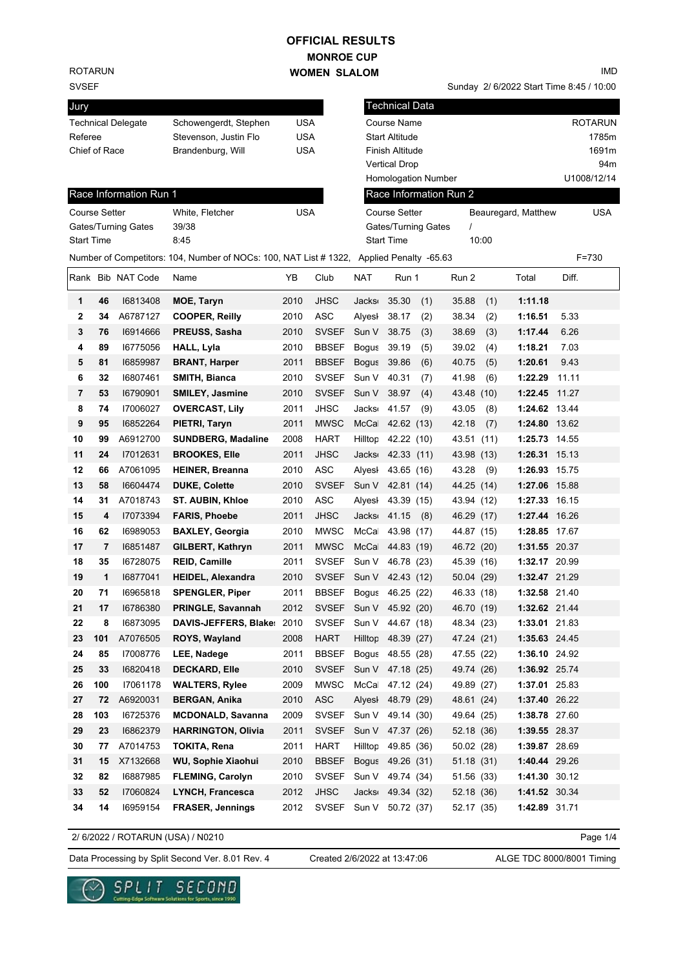### **MONROE CUP WOMEN SLALOM OFFICIAL RESULTS**

ROTARUN

### SVSEF

| Jury                      |                       |     |
|---------------------------|-----------------------|-----|
| <b>Technical Delegate</b> | Schowengerdt, Stephen | USA |
| Referee                   | Stevenson, Justin Flo | USA |
| Chief of Race             | Brandenburg, Will     | USA |
|                           |                       |     |

#### IMD

Sunday 2/ 6/2022 Start Time 8:45 / 10:00

| Jury                 |     |                           |                                                                                          |            |              |              | <b>Technical Data</b>      |                         |       |                     |                |  |
|----------------------|-----|---------------------------|------------------------------------------------------------------------------------------|------------|--------------|--------------|----------------------------|-------------------------|-------|---------------------|----------------|--|
|                      |     | <b>Technical Delegate</b> | Schowengerdt, Stephen                                                                    | USA        |              |              | Course Name                |                         |       |                     | <b>ROTARUN</b> |  |
| Referee              |     |                           | Stevenson, Justin Flo                                                                    | USA        |              |              | <b>Start Altitude</b>      |                         |       |                     | 1785m          |  |
| Chief of Race        |     |                           | Brandenburg, Will                                                                        | <b>USA</b> |              |              | Finish Altitude            |                         |       |                     | 1691m          |  |
|                      |     |                           |                                                                                          |            |              |              | <b>Vertical Drop</b>       |                         |       |                     | 94m            |  |
|                      |     |                           |                                                                                          |            |              |              | <b>Homologation Number</b> |                         |       |                     | U1008/12/14    |  |
|                      |     | Race Information Run 1    |                                                                                          |            |              |              | Race Information Run 2     |                         |       |                     |                |  |
| <b>Course Setter</b> |     |                           | White, Fletcher                                                                          | <b>USA</b> |              |              | <b>Course Setter</b>       |                         |       | Beauregard, Matthew | USA            |  |
|                      |     | Gates/Turning Gates       | 39/38                                                                                    |            |              |              | Gates/Turning Gates        | $\prime$                |       |                     |                |  |
| <b>Start Time</b>    |     |                           | 8:45                                                                                     |            |              |              | <b>Start Time</b>          |                         | 10:00 |                     |                |  |
|                      |     |                           | Number of Competitors: 104, Number of NOCs: 100, NAT List # 1322, Applied Penalty -65.63 |            |              |              |                            |                         |       |                     | $F = 730$      |  |
|                      |     | Rank Bib NAT Code         | Name                                                                                     | YΒ         | Club         | <b>NAT</b>   | Run 1                      | Run 2                   |       | Total               | Diff.          |  |
| 1                    | 46  | 16813408                  | MOE, Taryn                                                                               | 2010       | <b>JHSC</b>  | <b>Jacks</b> | 35.30<br>(1)               | 35.88                   | (1)   | 1:11.18             |                |  |
| 2                    | 34  | A6787127                  | <b>COOPER, Reilly</b>                                                                    | 2010       | ASC          | Alyesl       | 38.17<br>(2)               | 38.34                   | (2)   | 1:16.51             | 5.33           |  |
| 3                    | 76  | 16914666                  | PREUSS, Sasha                                                                            | 2010       | <b>SVSEF</b> | Sun V        | 38.75<br>(3)               | 38.69                   | (3)   | 1:17.44             | 6.26           |  |
| 4                    | 89  | 16775056                  | HALL, Lyla                                                                               | 2010       | <b>BBSEF</b> | <b>Bogus</b> | 39.19<br>(5)               | 39.02                   | (4)   | 1:18.21             | 7.03           |  |
| 5                    | 81  | 16859987                  | <b>BRANT, Harper</b>                                                                     | 2011       | <b>BBSEF</b> | <b>Bogus</b> | 39.86<br>(6)               | 40.75                   | (5)   | 1:20.61             | 9.43           |  |
| 6                    | 32  | 16807461                  | SMITH, Bianca                                                                            | 2010       | <b>SVSEF</b> | Sun V        | 40.31<br>(7)               | 41.98                   | (6)   | 1:22.29             | 11.11          |  |
| 7                    | 53  | 16790901                  | <b>SMILEY, Jasmine</b>                                                                   | 2010       | <b>SVSEF</b> | Sun V        | 38.97<br>(4)               | 43.48 (10)              |       | 1:22.45             | 11.27          |  |
| 8                    | 74  | 17006027                  | <b>OVERCAST, Lily</b>                                                                    | 2011       | <b>JHSC</b>  | <b>Jacks</b> | 41.57<br>(9)               | 43.05                   | (8)   | 1:24.62 13.44       |                |  |
| 9                    | 95  | 16852264                  | PIETRI, Taryn                                                                            | 2011       | <b>MWSC</b>  | McCa         | 42.62 (13)                 | 42.18                   | (7)   | 1:24.80 13.62       |                |  |
| 10                   | 99  | A6912700                  | <b>SUNDBERG, Madaline</b>                                                                | 2008       | <b>HART</b>  | Hilltop      | 42.22 (10)                 | 43.51                   | (11)  | 1:25.73 14.55       |                |  |
| 11                   | 24  | 17012631                  | <b>BROOKES, Elle</b>                                                                     | 2011       | <b>JHSC</b>  |              | Jacks 42.33 (11)           | 43.98 (13)              |       | 1:26.31 15.13       |                |  |
| 12                   | 66  | A7061095                  | <b>HEINER, Breanna</b>                                                                   | 2010       | ASC          | Alyesl       | 43.65 (16)                 | 43.28                   | (9)   | 1:26.93 15.75       |                |  |
| 13                   | 58  | 16604474                  | <b>DUKE, Colette</b>                                                                     | 2010       | <b>SVSEF</b> | Sun V        | 42.81 (14)                 | 44.25 (14)              |       | 1:27.06 15.88       |                |  |
| 14                   | 31  | A7018743                  | <b>ST. AUBIN, Khloe</b>                                                                  | 2010       | ASC          | Alyesl       | 43.39 (15)                 | 43.94 (12)              |       | 1:27.33 16.15       |                |  |
| 15                   | 4   | 17073394                  | <b>FARIS, Phoebe</b>                                                                     | 2011       | <b>JHSC</b>  | <b>Jacks</b> | $41.15$ (8)                | 46.29 (17)              |       | 1:27.44 16.26       |                |  |
| 16                   | 62  | 16989053                  | <b>BAXLEY, Georgia</b>                                                                   | 2010       | <b>MWSC</b>  | McCa         | 43.98 (17)                 | 44.87 (15)              |       | 1:28.85 17.67       |                |  |
| 17                   | 7   | 16851487                  | GILBERT, Kathryn                                                                         | 2011       | <b>MWSC</b>  | McCa         | 44.83 (19)                 | 46.72 (20)              |       | 1:31.55 20.37       |                |  |
| 18                   | 35  | 16728075                  | <b>REID, Camille</b>                                                                     | 2011       | <b>SVSEF</b> | Sun V        | 46.78 (23)                 | 45.39 (16)              |       | 1:32.17 20.99       |                |  |
| 19                   | 1   | 16877041                  | <b>HEIDEL, Alexandra</b>                                                                 | 2010       | <b>SVSEF</b> | Sun V        | 42.43 (12)                 | 50.04 (29)              |       | 1:32.47 21.29       |                |  |
| 20                   | 71  | 16965818                  | <b>SPENGLER, Piper</b>                                                                   | 2011       | <b>BBSEF</b> | Bogus        | 46.25 (22)                 | 46.33 (18)              |       | 1:32.58 21.40       |                |  |
| 21                   | 17  | 16786380                  | PRINGLE, Savannah                                                                        | 2012       | <b>SVSEF</b> | Sun V        | 45.92 (20)                 | 46.70 (19)              |       | 1:32.62 21.44       |                |  |
| 22                   | 8   | 16873095                  | <b>DAVIS-JEFFERS, Blake:</b>                                                             | 2010       | <b>SVSEF</b> |              | Sun V 44.67 (18)           | 48.34 (23)              |       | 1:33.01 21.83       |                |  |
| 23                   | 101 | A7076505                  | ROYS, Wayland                                                                            | 2008       | <b>HART</b>  | Hilltop      | 48.39 (27)                 | 47.24 (21)              |       | 1:35.63 24.45       |                |  |
| 24                   | 85  | 17008776                  | LEE, Nadege                                                                              | 2011       | <b>BBSEF</b> |              | Bogus 48.55 (28)           | 47.55 (22)              |       | 1:36.10 24.92       |                |  |
| 25                   | 33  | 16820418                  | <b>DECKARD, Elle</b>                                                                     | 2010       | <b>SVSEF</b> | Sun V        | 47.18 (25)                 | 49.74 (26)              |       | 1:36.92 25.74       |                |  |
| 26                   | 100 | 17061178                  | <b>WALTERS, Rylee</b>                                                                    | 2009       | <b>MWSC</b>  | McCa         | 47.12 (24)                 | 49.89 (27)              |       | 1:37.01 25.83       |                |  |
| 27                   | 72  | A6920031                  | <b>BERGAN, Anika</b>                                                                     | 2010       | ASC          | Alyesl       | 48.79 (29)                 | 48.61 (24)              |       | 1:37.40 26.22       |                |  |
| 28                   | 103 | 16725376                  | <b>MCDONALD, Savanna</b>                                                                 | 2009       | <b>SVSEF</b> | Sun V        | 49.14 (30)                 | 49.64 (25)              |       | 1:38.78 27.60       |                |  |
| 29                   | 23  | 16862379                  | <b>HARRINGTON, Olivia</b>                                                                | 2011       | <b>SVSEF</b> | Sun V        | 47.37 (26)                 | 52.18 (36)              |       | 1:39.55 28.37       |                |  |
|                      |     |                           | <b>TOKITA, Rena</b>                                                                      |            | <b>HART</b>  | Hilltop      |                            |                         |       | 1:39.87 28.69       |                |  |
| 30                   | 77  | A7014753                  |                                                                                          | 2011       |              |              | 49.85 (36)                 | 50.02 (28)<br>51.18(31) |       |                     |                |  |
| 31                   | 15  | X7132668                  | WU, Sophie Xiaohui                                                                       | 2010       | <b>BBSEF</b> |              | Bogus 49.26 (31)           |                         |       | 1:40.44 29.26       |                |  |
| 32                   | 82  | 16887985                  | <b>FLEMING, Carolyn</b>                                                                  | 2010       | <b>SVSEF</b> | Sun V        | 49.74 (34)                 | 51.56 (33)              |       | 1:41.30 30.12       |                |  |
| 33                   | 52  | 17060824                  | LYNCH, Francesca                                                                         | 2012       | <b>JHSC</b>  | Jacks        | 49.34 (32)                 | 52.18 (36)              |       | 1:41.52 30.34       |                |  |
| 34                   | 14  | 16959154                  | <b>FRASER, Jennings</b>                                                                  | 2012       | <b>SVSEF</b> | Sun V        | 50.72 (37)                 | 52.17 (35)              |       | 1:42.89 31.71       |                |  |

2/ 6/2022 / ROTARUN (USA) / N0210

Page 1/4

Data Processing by Split Second Ver. 8.01 Rev. 4 Created 2/6/2022 at 13:47:06 ALGE TDC 8000/8001 Timing

Created 2/6/2022 at 13:47:06

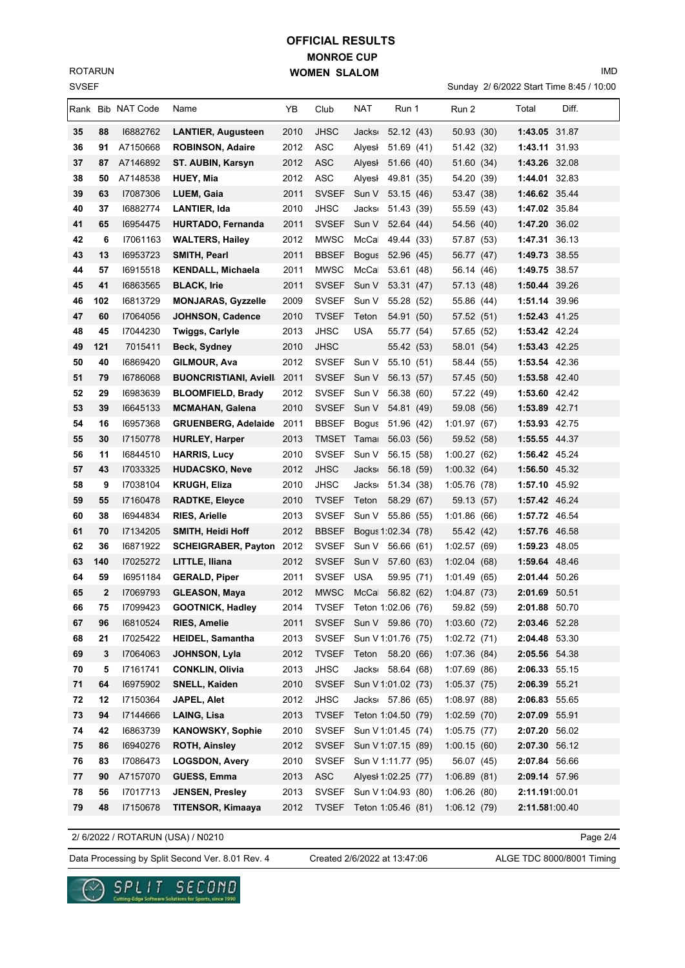SVSEF ROTARUN

# **MONROE CUP WOMEN SLALOM OFFICIAL RESULTS**

Sunday 2/ 6/2022 Start Time 8:45 / 10:00

IMD

|    |     | Rank Bib NAT Code | Name                              | YΒ   | Club                     | NAT                 | Run 1              | Run 2       | Total          | Diff. |
|----|-----|-------------------|-----------------------------------|------|--------------------------|---------------------|--------------------|-------------|----------------|-------|
| 35 | 88  | 16882762          | <b>LANTIER, Augusteen</b>         | 2010 | JHSC                     | Jacks 52.12 (43)    |                    | 50.93 (30)  | 1:43.05 31.87  |       |
| 36 | 91  | A7150668          | <b>ROBINSON, Adaire</b>           | 2012 | <b>ASC</b>               | Alyesl              | 51.69 (41)         | 51.42 (32)  | 1:43.11 31.93  |       |
| 37 | 87  | A7146892          | ST. AUBIN, Karsyn                 | 2012 | <b>ASC</b>               | Alyesl              | 51.66 (40)         | 51.60 (34)  | 1:43.26 32.08  |       |
| 38 | 50  | A7148538          | <b>HUEY, Mia</b>                  | 2012 | ASC                      | Alyesl              | 49.81 (35)         | 54.20 (39)  | 1:44.01 32.83  |       |
| 39 | 63  | 17087306          | LUEM, Gaia                        | 2011 | <b>SVSEF</b>             | Sun V               | 53.15 (46)         | 53.47 (38)  | 1:46.62 35.44  |       |
| 40 | 37  | 16882774          | <b>LANTIER, Ida</b>               | 2010 | <b>JHSC</b>              | Jacks <sub>®</sub>  | 51.43 (39)         | 55.59 (43)  | 1:47.02 35.84  |       |
| 41 | 65  | 16954475          | HURTADO, Fernanda                 | 2011 | <b>SVSEF</b>             | Sun V               | 52.64 (44)         | 54.56 (40)  | 1:47.20 36.02  |       |
| 42 | 6   | 17061163          | <b>WALTERS, Hailey</b>            | 2012 | <b>MWSC</b>              | McCa                | 49.44 (33)         | 57.87 (53)  | 1:47.31 36.13  |       |
| 43 | 13  | 16953723          | <b>SMITH, Pearl</b>               | 2011 | <b>BBSEF</b>             | <b>Bogus</b>        | 52.96 (45)         | 56.77 (47)  | 1:49.73 38.55  |       |
| 44 | 57  | 16915518          | <b>KENDALL, Michaela</b>          | 2011 | <b>MWSC</b>              | McCa                | 53.61 (48)         | 56.14 (46)  | 1:49.75 38.57  |       |
| 45 | 41  | 16863565          | <b>BLACK, Irie</b>                | 2011 | <b>SVSEF</b>             | Sun V               | 53.31 (47)         | 57.13 (48)  | 1:50.44 39.26  |       |
| 46 | 102 | 16813729          | <b>MONJARAS, Gyzzelle</b>         | 2009 | <b>SVSEF</b>             | Sun V               | 55.28 (52)         | 55.86 (44)  | 1:51.14 39.96  |       |
| 47 | 60  | 17064056          | JOHNSON, Cadence                  | 2010 | <b>TVSEF</b>             | Teton               | 54.91 (50)         | 57.52 (51)  | 1:52.43 41.25  |       |
| 48 | 45  | 17044230          | <b>Twiggs, Carlyle</b>            | 2013 | JHSC                     | USA                 | 55.77 (54)         | 57.65 (52)  | 1:53.42 42.24  |       |
| 49 | 121 | 7015411           | Beck, Sydney                      | 2010 | <b>JHSC</b>              |                     | 55.42 (53)         | 58.01 (54)  | 1:53.43 42.25  |       |
| 50 | 40  | 16869420          | GILMOUR, Ava                      | 2012 | <b>SVSEF</b>             | Sun V               | 55.10 (51)         | 58.44 (55)  | 1:53.54 42.36  |       |
| 51 | 79  | 16786068          | <b>BUONCRISTIANI, Aviell</b> 2011 |      | <b>SVSEF</b>             | Sun V               | 56.13 (57)         | 57.45 (50)  | 1:53.58 42.40  |       |
| 52 | 29  | 16983639          | <b>BLOOMFIELD, Brady</b>          | 2012 | <b>SVSEF</b>             | Sun V               | 56.38 (60)         | 57.22 (49)  | 1:53.60 42.42  |       |
| 53 | 39  | 16645133          | <b>MCMAHAN, Galena</b>            | 2010 | <b>SVSEF</b>             | Sun V               | 54.81 (49)         | 59.08 (56)  | 1:53.89 42.71  |       |
| 54 | 16  | 16957368          | GRUENBERG, Adelaide 2011          |      | <b>BBSEF</b>             | Bogus 51.96 (42)    |                    | 1:01.97(67) | 1:53.93 42.75  |       |
| 55 | 30  | 17150778          | <b>HURLEY, Harper</b>             | 2013 | TMSET                    | Tama                | 56.03 (56)         | 59.52 (58)  | 1:55.55 44.37  |       |
| 56 | 11  | 16844510          | <b>HARRIS, Lucy</b>               | 2010 | <b>SVSEF</b>             | Sun V               | 56.15 (58)         | 1:00.27(62) | 1:56.42 45.24  |       |
| 57 | 43  | 17033325          | <b>HUDACSKO, Neve</b>             | 2012 | <b>JHSC</b>              | <b>Jacks</b>        | 56.18 (59)         | 1:00.32(64) | 1:56.50 45.32  |       |
| 58 | 9   | 17038104          | <b>KRUGH, Eliza</b>               | 2010 | JHSC                     | Jacks <sub>'</sub>  | 51.34 (38)         | 1:05.76(78) | 1:57.10 45.92  |       |
| 59 | 55  | 17160478          | <b>RADTKE, Eleyce</b>             | 2010 | <b>TVSEF</b>             | Teton               | 58.29 (67)         | 59.13 (57)  | 1:57.42 46.24  |       |
| 60 | 38  | 16944834          | <b>RIES, Arielle</b>              | 2013 | <b>SVSEF</b>             | Sun V               | 55.86 (55)         | 1:01.86(66) | 1:57.72 46.54  |       |
| 61 | 70  | 17134205          | SMITH, Heidi Hoff                 | 2012 | <b>BBSEF</b>             |                     | Bogus 1:02.34 (78) | 55.42 (42)  | 1:57.76 46.58  |       |
| 62 | 36  | 16871922          | SCHEIGRABER, Payton 2012          |      | <b>SVSEF</b>             | Sun V               | 56.66 (61)         | 1:02.57(69) | 1:59.23 48.05  |       |
| 63 | 140 | 17025272          | LITTLE, Iliana                    | 2012 | <b>SVSEF</b>             | Sun V               | 57.60 (63)         | 1:02.04(68) | 1:59.64 48.46  |       |
| 64 | 59  | 16951184          | <b>GERALD, Piper</b>              | 2011 | <b>SVSEF</b>             | <b>USA</b>          | 59.95 (71)         | 1:01.49(65) | 2:01.44 50.26  |       |
| 65 | 2   | 17069793          | <b>GLEASON, Maya</b>              | 2012 | <b>MWSC</b>              | McCa                | 56.82 (62)         | 1:04.87(73) | 2:01.69 50.51  |       |
| 66 | 75  | 17099423          | <b>GOOTNICK, Hadley</b>           | 2014 | TVSEF Teton 1:02.06 (76) |                     |                    | 59.82 (59)  | 2:01.88 50.70  |       |
| 67 | 96  | 16810524          | <b>RIES, Amelie</b>               | 2011 | SVSEF Sun V 59.86 (70)   |                     |                    | 1:03.60(72) | 2:03.46 52.28  |       |
| 68 | 21  | 17025422          | <b>HEIDEL, Samantha</b>           | 2013 | <b>SVSEF</b>             | Sun V 1:01.76 (75)  |                    | 1:02.72(71) | 2:04.48 53.30  |       |
| 69 | 3   | 17064063          | JOHNSON, Lyla                     | 2012 | <b>TVSEF</b>             | Teton 58.20 (66)    |                    | 1:07.36(84) | 2:05.56 54.38  |       |
| 70 | 5   | 17161741          | <b>CONKLIN, Olivia</b>            | 2013 | <b>JHSC</b>              | Jacks 58.64 (68)    |                    | 1:07.69(86) | 2:06.33 55.15  |       |
| 71 | 64  | 16975902          | <b>SNELL, Kaiden</b>              | 2010 | <b>SVSEF</b>             | Sun V 1:01.02 (73)  |                    | 1:05.37(75) | 2:06.39 55.21  |       |
| 72 | 12  | 17150364          | JAPEL, Alet                       | 2012 | <b>JHSC</b>              | Jacks 57.86 (65)    |                    | 1:08.97(88) | 2:06.83 55.65  |       |
| 73 | 94  | 17144666          | LAING, Lisa                       | 2013 | <b>TVSEF</b>             | Teton 1:04.50 (79)  |                    | 1:02.59(70) | 2:07.09 55.91  |       |
| 74 | 42  | 16863739          | <b>KANOWSKY, Sophie</b>           | 2010 | <b>SVSEF</b>             | Sun V 1:01.45 (74)  |                    | 1:05.75(77) | 2:07.20 56.02  |       |
| 75 | 86  | 16940276          | <b>ROTH, Ainsley</b>              | 2012 | <b>SVSEF</b>             | Sun V 1:07.15 (89)  |                    | 1:00.15(60) | 2:07.30 56.12  |       |
| 76 | 83  | 17086473          | <b>LOGSDON, Avery</b>             | 2010 | <b>SVSEF</b>             | Sun V 1:11.77 (95)  |                    | 56.07 (45)  | 2:07.84 56.66  |       |
| 77 | 90  | A7157070          | <b>GUESS, Emma</b>                | 2013 | ASC                      | Alyesi 1:02.25 (77) |                    | 1:06.89(81) | 2:09.14 57.96  |       |
| 78 | 56  | 17017713          | <b>JENSEN, Presley</b>            | 2013 | <b>SVSEF</b>             | Sun V 1:04.93 (80)  |                    | 1:06.26(80) | 2:11.191:00.01 |       |
| 79 | 48  | 17150678          | <b>TITENSOR, Kimaaya</b>          | 2012 | <b>TVSEF</b>             | Teton 1:05.46 (81)  |                    | 1:06.12(79) | 2:11.581:00.40 |       |
|    |     |                   |                                   |      |                          |                     |                    |             |                |       |

2/ 6/2022 / ROTARUN (USA) / N0210

Page 2/4

Data Processing by Split Second Ver. 8.01 Rev. 4 Created 2/6/2022 at 13:47:06 ALGE TDC 8000/8001 Timing

Created 2/6/2022 at 13:47:06

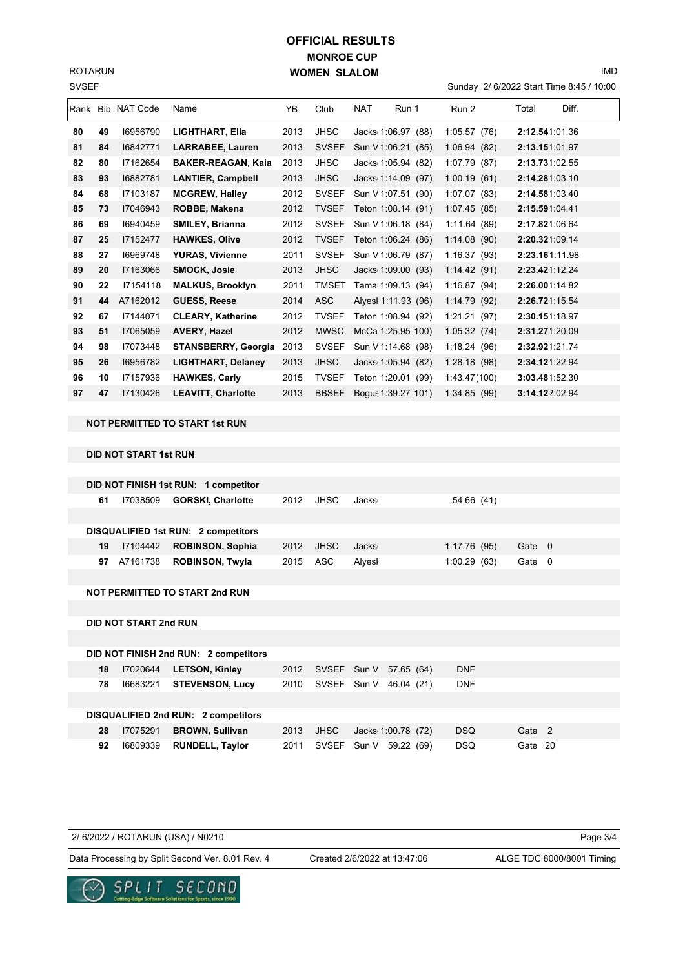SVSEF ROTARUN

# **MONROE CUP WOMEN SLALOM OFFICIAL RESULTS**

Sunday 2/ 6/2022 Start Time 8:45 / 10:00

IMD

|    |    | Rank Bib NAT Code | Name                       | YB   | Club         | <b>NAT</b> | Run 1               | Run 2           | Total           | Diff. |
|----|----|-------------------|----------------------------|------|--------------|------------|---------------------|-----------------|-----------------|-------|
| 80 | 49 | 16956790          | LIGHTHART, Ella            | 2013 | JHSC         |            | Jacks 1:06.97 (88)  | 1:05.57(76)     | 2:12.541:01.36  |       |
| 81 | 84 | 16842771          | <b>LARRABEE, Lauren</b>    | 2013 | <b>SVSEF</b> |            | Sun V 1:06.21 (85)  | 1:06.94(82)     | 2:13.151:01.97  |       |
| 82 | 80 | 17162654          | <b>BAKER-REAGAN, Kaia</b>  | 2013 | JHSC         |            | Jacks 1:05.94 (82)  | 1:07.79<br>(87) | 2:13.731:02.55  |       |
| 83 | 93 | 16882781          | <b>LANTIER, Campbell</b>   | 2013 | <b>JHSC</b>  |            | Jacks 1:14.09 (97)  | 1:00.19(61)     | 2:14.281:03.10  |       |
| 84 | 68 | 17103187          | <b>MCGREW, Halley</b>      | 2012 | <b>SVSEF</b> |            | Sun V 1:07.51 (90)  | 1:07.07(83)     | 2:14.581:03.40  |       |
| 85 | 73 | 17046943          | ROBBE, Makena              | 2012 | <b>TVSEF</b> |            | Teton 1:08.14 (91)  | 1:07.45(85)     | 2:15.591:04.41  |       |
| 86 | 69 | 16940459          | <b>SMILEY, Brianna</b>     | 2012 | <b>SVSEF</b> |            | Sun V 1:06.18 (84)  | 1:11.64(89)     | 2:17.821:06.64  |       |
| 87 | 25 | 17152477          | <b>HAWKES, Olive</b>       | 2012 | <b>TVSEF</b> |            | Teton 1:06.24 (86)  | 1:14.08(90)     | 2:20.321:09.14  |       |
| 88 | 27 | 16969748          | <b>YURAS, Vivienne</b>     | 2011 | <b>SVSEF</b> |            | Sun V 1:06.79 (87)  | 1:16.37(93)     | 2:23.161:11.98  |       |
| 89 | 20 | 17163066          | <b>SMOCK, Josie</b>        | 2013 | <b>JHSC</b>  |            | Jacks 1:09.00 (93)  | 1:14.42(91)     | 2:23.421:12.24  |       |
| 90 | 22 | 17154118          | <b>MALKUS, Brooklyn</b>    | 2011 | <b>TMSET</b> |            | Tama 1:09.13 (94)   | 1:16.87(94)     | 2:26.001:14.82  |       |
| 91 | 44 | A7162012          | <b>GUESS, Reese</b>        | 2014 | <b>ASC</b>   |            | Alyesi 1:11.93 (96) | 1:14.79(92)     | 2:26.721:15.54  |       |
| 92 | 67 | 17144071          | <b>CLEARY, Katherine</b>   | 2012 | <b>TVSEF</b> |            | Teton 1:08.94 (92)  | 1:21.21(97)     | 2:30.151:18.97  |       |
| 93 | 51 | I7065059          | <b>AVERY, Hazel</b>        | 2012 | <b>MWSC</b>  |            | McCa 1:25.95(100)   | 1:05.32(74)     | 2:31.271:20.09  |       |
| 94 | 98 | 17073448          | <b>STANSBERRY, Georgia</b> | 2013 | <b>SVSEF</b> |            | Sun V 1:14.68 (98)  | 1:18.24(96)     | 2:32.921:21.74  |       |
| 95 | 26 | 16956782          | <b>LIGHTHART, Delaney</b>  | 2013 | <b>JHSC</b>  |            | Jacks 1:05.94 (82)  | 1:28.18(98)     | 2:34.121:22.94  |       |
| 96 | 10 | 17157936          | <b>HAWKES, Carly</b>       | 2015 | <b>TVSEF</b> |            | Teton 1:20.01 (99)  | 1:43.47(100)    | 3:03.481:52.30  |       |
| 97 | 47 | 17130426          | <b>LEAVITT, Charlotte</b>  | 2013 | <b>BBSEF</b> |            | Bogus 1:39.27 (101) | 1:34.85(99)     | 3:14.12 2:02.94 |       |
|    |    |                   |                            |      |              |            |                     |                 |                 |       |

**NOT PERMITTED TO START 1st RUN**

#### **DID NOT START 1st RUN**

|    |                              | DID NOT FINISH 1st RUN: 1 competitor       |      |                        |                                 |  |              |         |  |
|----|------------------------------|--------------------------------------------|------|------------------------|---------------------------------|--|--------------|---------|--|
| 61 | 17038509                     | <b>GORSKI, Charlotte</b>                   | 2012 | <b>JHSC</b>            | Jacks                           |  | 54.66 (41)   |         |  |
|    |                              |                                            |      |                        |                                 |  |              |         |  |
|    |                              | <b>DISQUALIFIED 1st RUN: 2 competitors</b> |      |                        |                                 |  |              |         |  |
| 19 | 17104442                     | <b>ROBINSON, Sophia</b>                    | 2012 | <b>JHSC</b>            | <b>Jacks</b>                    |  | 1:17.76 (95) | Gate 0  |  |
| 97 | A7161738                     | <b>ROBINSON, Twyla</b>                     | 2015 | <b>ASC</b>             | Alyesl                          |  | 1:00.29(63)  | Gate 0  |  |
|    |                              |                                            |      |                        |                                 |  |              |         |  |
|    |                              | <b>NOT PERMITTED TO START 2nd RUN</b>      |      |                        |                                 |  |              |         |  |
|    |                              |                                            |      |                        |                                 |  |              |         |  |
|    | <b>DID NOT START 2nd RUN</b> |                                            |      |                        |                                 |  |              |         |  |
|    |                              |                                            |      |                        |                                 |  |              |         |  |
|    |                              | DID NOT FINISH 2nd RUN: 2 competitors      |      |                        |                                 |  |              |         |  |
| 18 | 17020644                     | <b>LETSON, Kinley</b>                      | 2012 | SVSEF Sun V 57.65 (64) |                                 |  | <b>DNF</b>   |         |  |
| 78 | 16683221                     | <b>STEVENSON, Lucy</b>                     | 2010 | SVSEF Sun V 46.04 (21) |                                 |  | <b>DNF</b>   |         |  |
|    |                              |                                            |      |                        |                                 |  |              |         |  |
|    |                              | DISQUALIFIED 2nd RUN: 2 competitors        |      |                        |                                 |  |              |         |  |
| 28 | 17075291                     | <b>BROWN, Sullivan</b>                     | 2013 | <b>JHSC</b>            | Jacks <sub>1</sub> 1:00.78 (72) |  | <b>DSQ</b>   | Gate 2  |  |
| 92 | 16809339                     | <b>RUNDELL, Taylor</b>                     | 2011 | <b>SVSEF</b>           | Sun V 59.22 (69)                |  | DSQ.         | Gate 20 |  |

| 2/ 6/2022 / ROTARUN (USA) / N0210 |  |
|-----------------------------------|--|
|                                   |  |

Data Processing by Split Second Ver. 8.01 Rev. 4 Created 2/6/2022 at 13:47:06 ALGE TDC 8000/8001 Timing

Created 2/6/2022 at 13:47:06

Page 3/4